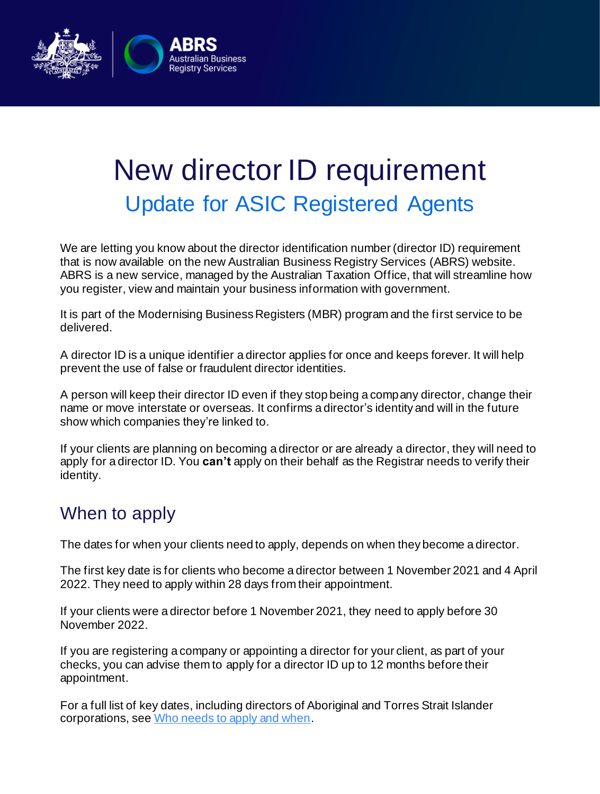

## New director ID requirement Update for ASIC Registered Agents

We are letting you know about the director identification number (director ID) requirement that is now available on the new Australian Business Registry Services (ABRS) website. ABRS is a new service, managed by the Australian Taxation Office, that will streamline how you register, view and maintain your business information with government.

It is part of the Modernising Business Registers (MBR) program and the first service to be delivered.

A director ID is a unique identifier a director applies for once and keeps forever. It will help prevent the use of false or fraudulent director identities.

A person will keep their director ID even if they stop being a company director, change their name or move interstate or overseas. It confirms a director's identity and will in the future show which companies they're linked to.

If your clients are planning on becoming a director or are already a director, they will need to apply for a director ID. You **can't** apply on their behalf as the Registrar needs to verify their identity.

## When to apply

The dates for when your clients need to apply, depends on when they become a director.

The first key date is for clients who become a director between 1 November 2021 and 4 April 2022. They need to apply within 28 days from their appointment.

If your clients were a director before 1 November 2021, they need to apply before 30 November 2022.

If you are registering a company or appointing a director for your client, as part of your checks, you can advise them to apply for a director ID up to 12 months before their appointment.

For a full list of key dates, including directors of Aboriginal and Torres Strait Islander corporations, se[e Who needs to apply and when](https://www.abrs.gov.au/director-identification-number/who-needs-apply-and-when).